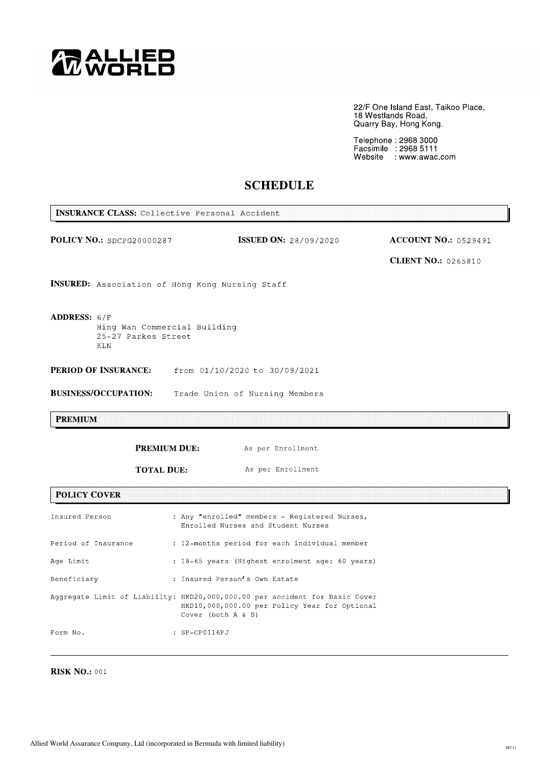

22/F One Island East, Taikoo Place,<br>18 Westlands Road,<br>Quarry Bay, Hong Kong.

Telephone : 2968 3000<br>Facsimile : 2968 5111<br>Website : www.awac.com

# **SCHEDULE**

| <b>INSURANCE CLASS:</b> Collective Personal Accident                                                  |                                                 |                                                                                                                                                        |                                                           |  |  |  |  |
|-------------------------------------------------------------------------------------------------------|-------------------------------------------------|--------------------------------------------------------------------------------------------------------------------------------------------------------|-----------------------------------------------------------|--|--|--|--|
| POLICY NO.: SDCPG20000287                                                                             |                                                 | <b>ISSUED ON:</b> 28/09/2020                                                                                                                           | <b>ACCOUNT NO.: 0529491</b><br><b>CLIENT NO.: 0265810</b> |  |  |  |  |
| INSURED: Association of Hong Kong Nursing Staff                                                       |                                                 |                                                                                                                                                        |                                                           |  |  |  |  |
| <b>ADDRESS: <math>6/F</math></b><br>Hing Wan Commercial Building<br>25-27 Parkes Street<br><b>KLN</b> |                                                 |                                                                                                                                                        |                                                           |  |  |  |  |
| PERIOD OF INSURANCE:<br>from 01/10/2020 to 30/09/2021                                                 |                                                 |                                                                                                                                                        |                                                           |  |  |  |  |
| <b>BUSINESS/OCCUPATION:</b><br>Trade Union of Nursing Members                                         |                                                 |                                                                                                                                                        |                                                           |  |  |  |  |
| <b>PREMIUM</b>                                                                                        |                                                 |                                                                                                                                                        |                                                           |  |  |  |  |
|                                                                                                       | <b>PREMIUM DUE:</b>                             | As per Enrollment                                                                                                                                      |                                                           |  |  |  |  |
|                                                                                                       | <b>TOTAL DUE:</b>                               | As per Enrollment                                                                                                                                      |                                                           |  |  |  |  |
| <b>POLICY COVER</b>                                                                                   |                                                 |                                                                                                                                                        |                                                           |  |  |  |  |
| Insured Person                                                                                        |                                                 | : Any "enrolled" members - Registered Nurses,<br>Enrolled Nurses and Student Nurses                                                                    |                                                           |  |  |  |  |
| Period of Insurance                                                                                   | : 12-months period for each individual member   |                                                                                                                                                        |                                                           |  |  |  |  |
| Age Limit                                                                                             | : 18-65 years (Highest enrolment age: 60 years) |                                                                                                                                                        |                                                           |  |  |  |  |
| Beneficiary                                                                                           | : Insured Person's Own Estate                   |                                                                                                                                                        |                                                           |  |  |  |  |
|                                                                                                       |                                                 | Aggregate Limit of Liability: HKD20,000,000.00 per accident for Basic Cover<br>HKD10,000,000.00 per Policy Year for Optional<br>Cover (both $A \& B$ ) |                                                           |  |  |  |  |
| Form No.                                                                                              | : SP-CP0116PJ                                   |                                                                                                                                                        |                                                           |  |  |  |  |

**RISK NO.: 001**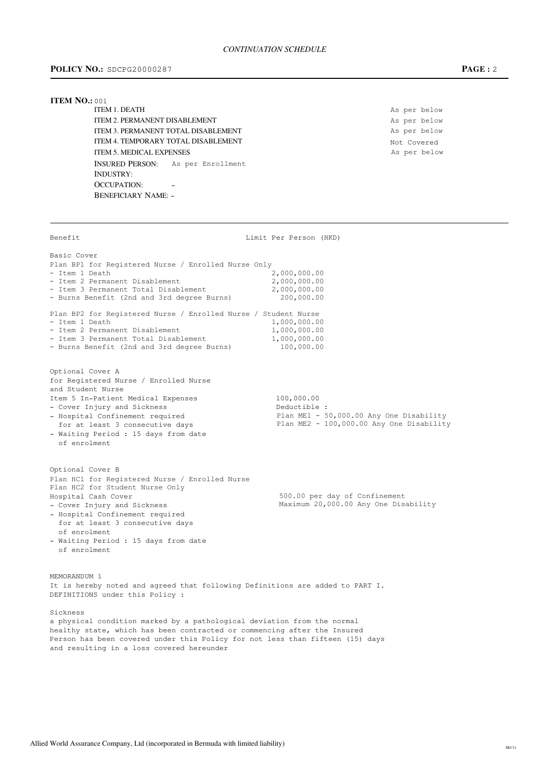# POLICY NO.: SDCPG20000287

# $PAGE: 2$

### **ITEM NO.: 001**

ITEM 1. DEATH **ITEM 2. PERMANENT DISABLEMENT ITEM 3 PERMANENT TOTAL DISARI EMENT ITEM 4 TEMPORARY TOTAL DISARI EMENT ITEM 5. MEDICAL EXPENSES** INSURED PERSON: As per Enrollment **INDUSTRY: OCCUPATION: BENEFICIARY NAME: -**

As per below As per below As per below Not Covered As per below

Benefit Limit Per Person (HKD) Basic Cover Plan BP1 for Registered Nurse / Enrolled Nurse Only 2,000,000.00 - Ttem 1 Death  $2,000,000.00$ - Item 2 Permanent Disablement - Item 3 Permanent Total Disablement 2,000,000.00 - Burns Benefit (2nd and 3rd degree Burns) 200,000.00 Plan BP2 for Registered Nurse / Enrolled Nurse / Student Nurse - Item 1 Death  $1,000,000.00$ - Item 2 Permanent Disablement 1,000,000.00  $1,000,000.00$ - Item 3 Permanent Total Disablement - Burns Benefit (2nd and 3rd degree Burns) 100,000,00 Optional Cover A for Registered Nurse / Enrolled Nurse and Student Nurse 100,000.00 Item 5 In-Patient Medical Expenses - Cover Injury and Sickness Deductible : Plan ME1 - 50,000.00 Any One Disability - Hospital Confinement required Plan ME2 - 100,000.00 Any One Disability for at least 3 consecutive days - Waiting Period : 15 days from date of enrolment Optional Cover B Plan HC1 for Registered Nurse / Enrolled Nurse Plan HC2 for Student Nurse Only Hospital Cash Cover 500.00 per day of Confinement Maximum 20,000.00 Any One Disability - Cover Injury and Sickness - Hospital Confinement required for at least 3 consecutive days of enrolment - Waiting Period : 15 days from date of enrolment MEMORANDUM 1 It is hereby noted and agreed that following Definitions are added to PART I. DEFINITIONS under this Policy : Sickness a physical condition marked by a pathological deviation from the normal healthy state, which has been contracted or commencing after the Insured Person has been covered under this Policy for not less than fifteen (15) days and resulting in a loss covered hereunder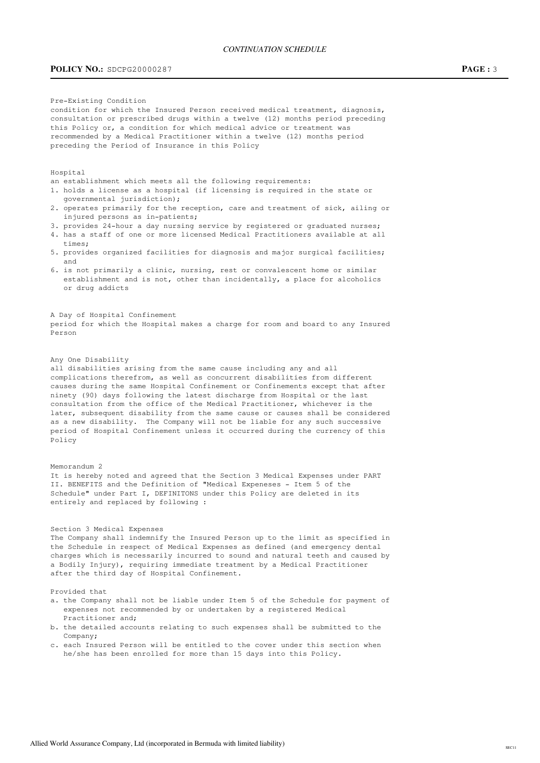# **POLICY NO.:** SDCPG20000287 **PAGE: 3**

Pre-Existing Condition

condition for which the Insured Person received medical treatment, diagnosis, consultation or prescribed drugs within a twelve (12) months period preceding this Policy or, a condition for which medical advice or treatment was recommended by a Medical Practitioner within a twelve (12) months period preceding the Period of Insurance in this Policy

Hospital

- an establishment which meets all the following requirements:
- 1. holds a license as a hospital (if licensing is required in the state or qovernmental jurisdiction);
- 2. operates primarily for the reception, care and treatment of sick, ailing or injured persons as in-patients:
- 3. provides 24-hour a day nursing service by registered or graduated nurses;
- 4. has a staff of one or more licensed Medical Practitioners available at all times;
- 5. provides organized facilities for diagnosis and major surgical facilities: and
- 6. is not primarily a clinic, nursing, rest or convalescent home or similar establishment and is not, other than incidentally, a place for alcoholics or drug addicts

A Day of Hospital Confinement period for which the Hospital makes a charge for room and board to any Insured Person

### Any One Disability

all disabilities arising from the same cause including any and all complications therefrom, as well as concurrent disabilities from different causes during the same Hospital Confinement or Confinements except that after ninety (90) days following the latest discharge from Hospital or the last consultation from the office of the Medical Practitioner, whichever is the later, subsequent disability from the same cause or causes shall be considered as a new disability. The Company will not be liable for any such successive period of Hospital Confinement unless it occurred during the currency of this Policy

#### $M$  $\alpha$ m $\alpha$ randum  $2$

It is hereby noted and agreed that the Section 3 Medical Expenses under PART II. BENEFITS and the Definition of "Medical Expeneses - Item 5 of the Schedule" under Part I, DEFINITONS under this Policy are deleted in its entirely and replaced by following :

### Section 3 Medical Expenses

The Company shall indemnify the Insured Person up to the limit as specified in the Schedule in respect of Medical Expenses as defined (and emergency dental charges which is necessarily incurred to sound and natural teeth and caused by a Bodily Injury), requiring immediate treatment by a Medical Practitioner after the third day of Hospital Confinement.

### Provided that

- a. the Company shall not be liable under Item 5 of the Schedule for payment of expenses not recommended by or undertaken by a registered Medical Practitioner and:
- b. the detailed accounts relating to such expenses shall be submitted to the  $Companv:$
- c. each Insured Person will be entitled to the cover under this section when he/she has been enrolled for more than 15 days into this Policy.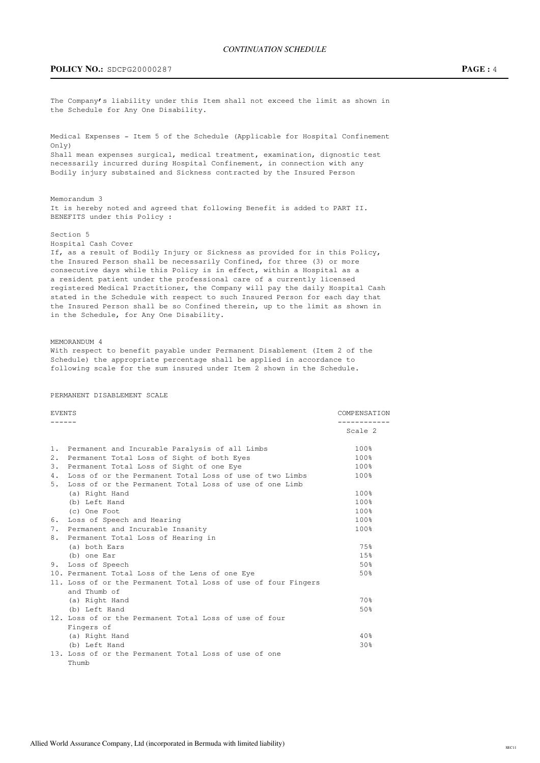**POLICY NO.:** SDCPG20000287 **PAGE: 4** 

the Schedule for Any One Disability. Medical Expenses - Item 5 of the Schedule (Applicable for Hospital Confinement  $Only)$ Shall mean expenses surgical, medical treatment, examination, dignostic test necessarily incurred during Hospital Confinement, in connection with any Bodily injury substained and Sickness contracted by the Insured Person Memorandum 3 It is hereby noted and agreed that following Benefit is added to PART II. BENEFITS under this Policy : Section 5 Hospital Cash Cover If, as a result of Bodily Injury or Sickness as provided for in this Policy, the Insured Person shall be necessarily Confined, for three (3) or more consecutive days while this Policy is in effect, within a Hospital as a a resident patient under the professional care of a currently licensed registered Medical Practitioner, the Company will pay the daily Hospital Cash stated in the Schedule with respect to such Insured Person for each day that the Insured Person shall be so Confined therein, up to the limit as shown in in the Schedule, for Any One Disability. MEMORANDUM 4 With respect to benefit payable under Permanent Disablement (Item 2 of the Schedule) the appropriate percentage shall be applied in accordance to following scale for the sum insured under Item 2 shown in the Schedule. PERMANENT DISABLEMENT SCALE : FVENTS COMPENSATION '''''' $Scale<sub>2</sub>$ 1. Permanent and Incurable Paralysis of all Limbs  $100\%$ 2. Permanent Total Loss of Sight of both Eyes  $100\$ 3. Permanent Total Loss of Sight of one Eye 100% 4. Loss of or the Permanent Total Loss of use of two Limbs  $100\%$ 5. Loss of or the Permanent Total Loss of use of one Limb (a) Right Hand 100% (a)  $\frac{100}{x}$  $(b)$  Left Hand  $100\%$  $\epsilon$  (c) One Foot  $100\%$ % 6. Loss of Speech and Hearing<br>
7. Permanent and Incurable Insanity<br>
100% 100% 7. Permanent and Incurable Insanity 8. Permanent Total Loss of Hearing in  $(a)$  both Ears  $75\%$  $\{\mathrm{b}\}$  one Ear  $15\%$  $\frac{3}{2}$  and  $\frac{3}{2}$  and  $\frac{3}{2}$  and  $\frac{3}{2}$  and  $\frac{3}{2}$  and  $\frac{3}{2}$  and  $\frac{3}{2}$  and  $\frac{3}{2}$  and  $\frac{3}{2}$  and  $\frac{3}{2}$  and  $\frac{3}{2}$  and  $\frac{3}{2}$  and  $\frac{3}{2}$  and  $\frac{3}{2}$  and  $\frac{3}{2}$  and  $\frac{3}{2}$  a  $10.$  Permanent Total Loss of the Lens of one Eve  $50\%$ 11. Loss of or the Permanent Total Loss of use of four Fingers and Thumb of (a) Right Hand 70%  $(b)$  Left Hand  $50\%$ 12. Loss of or the Permanent Total Loss of use of four Fingers of (a) Right Hand 40%

The Company's liability under this Item shall not exceed the limit as shown in

 $(h)$  Left Hand  $(30\frac{8}{3})$ 13. Loss of or the Permanent Total Loss of use of one Thumb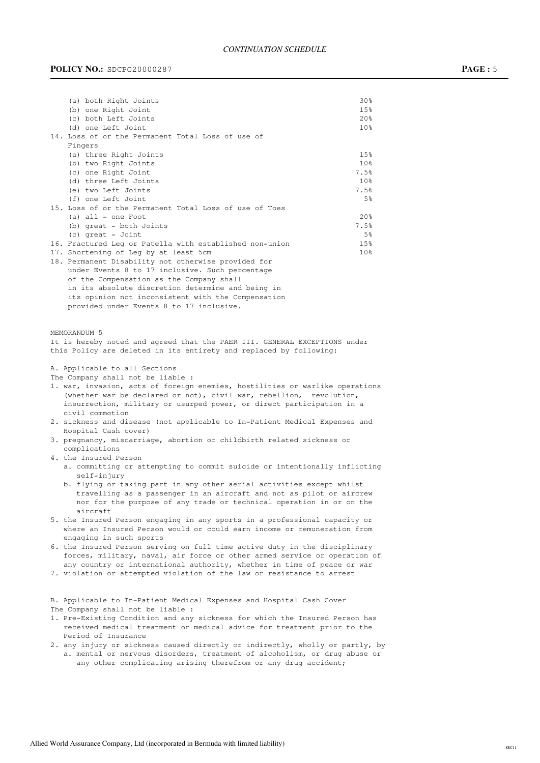# CONTINUATION SCHEDULE

# **POLICY NO.:** SDCPG20000287 **PAGE:**5

(b) one Right Joint (c) both Left Joints (d) one Left Joint

Fingers

|         | エンる             |  |
|---------|-----------------|--|
|         | 20%             |  |
|         | 10%             |  |
| of      |                 |  |
|         |                 |  |
|         | 15%             |  |
|         | 10%             |  |
|         | 7.5%            |  |
|         | 10%             |  |
|         | 7.5%            |  |
|         | 5%              |  |
| of Toes |                 |  |
|         | 20 <sub>8</sub> |  |

| (a) three Right Joints                                  | 15%             |
|---------------------------------------------------------|-----------------|
| (b) two Right Joints                                    | 10%             |
| (c) one Right Joint                                     | 7.5%            |
| (d) three Left Joints                                   | 10%             |
| (e) two Left Joints                                     | 7.5%            |
| (f) one Left Joint                                      | 5%              |
| 15. Loss of or the Permanent Total Loss of use of Toes  |                 |
| $(a)$ all $-$ one Foot                                  | 20%             |
| (b) great - both Joints                                 | 7.5%            |
| (c) great - Joint                                       | 5%              |
| 16. Fractured Leg or Patella with established non-union | 15%             |
| 17. Shortening of Leg by at least 5cm                   | 10 <sub>8</sub> |
| 18. Permanent Disability not otherwise provided for     |                 |
| under Events 8 to 17 inclusive. Such percentage         |                 |
| of the Compensation as the Company shall                |                 |
| in its absolute discretion determine and being in       |                 |
| its opinion not inconsistent with the Compensation      |                 |

(a) both Right Joints 30% (a)  $\sim$  30%

provided under Events  $8$  to  $17$  inclusive.

14. Loss of or the Permanent Total Loss of use

#### MEMORANDUM 5

It is hereby noted and agreed that the PAER III. GENERAL EXCEPTIONS under this Policy are deleted in its entirety and replaced by following:

A. Applicable to all Sections

The Company shall not be liable :

- 1. war, invasion, acts of foreign enemies, hostilities or warlike operations (whether war be declared or not), civil war, rebellion, revolution, insurrection, military or usurped power, or direct participation in a civil commotion
- 2. sickness and disease (not applicable to In-Patient Medical Expenses and Hospital Cash cover)
- 3. pregnancy, miscarriage, abortion or childbirth related sickness or complications
- 4. the Insured Person
	- a. committing or attempting to commit suicide or intentionally inflicting self-injury
	- b. flying or taking part in any other aerial activities except whilst travelling as a passenger in an aircraft and not as pilot or aircrew nor for the purpose of any trade or technical operation in or on the aircraft
- 5. the Insured Person engaging in any sports in a professional capacity or where an Insured Person would or could earn income or remuneration from engaging in such sports
- 6. the Insured Person serving on full time active duty in the disciplinary forces, military, naval, air force or other armed service or operation of any country or international authority, whether in time of peace or war
- 7. violation or attempted violation of the law or resistance to arrest

B. Applicable to In-Patient Medical Expenses and Hospital Cash Cover The Company shall not be liable :

- 1. Pre-Existing Condition and any sickness for which the Insured Person has received medical treatment or medical advice for treatment prior to the Period of Insurance
- 2. any injury or sickness caused directly or indirectly, wholly or partly, by a. mental or nervous disorders, treatment of alcoholism, or drug abuse or any other complicating arising therefrom or any drug accident;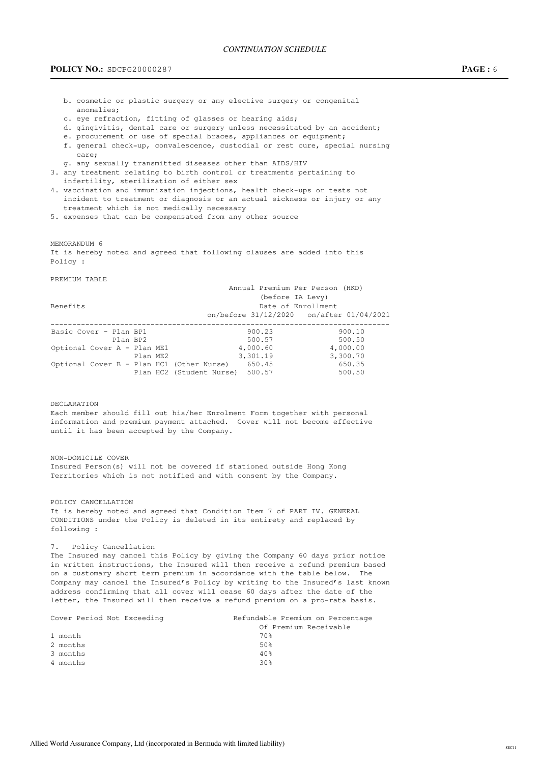# CONTINUATION SCHEDULE

# **POLICY NO.:** SDCPG20000287 **PAGE: 6**

- b. cosmetic or plastic surgery or any elective surgery or congenital anomalies:
- c. eye refraction, fitting of glasses or hearing aids;
- d. gingivitis, dental care or surgery unless necessitated by an accident;
- e. procurement or use of special braces, appliances or equipment;
- f. general check-up, convalescence, custodial or rest cure, special nursing care;
- g. any sexually transmitted diseases other than AIDS/HIV
- 3. any treatment relating to birth control or treatments pertaining to infertility, sterilization of either sex
- 4. vaccination and immunization injections, health check-ups or tests not incident to treatment or diagnosis or an actual sickness or injury or any treatment which is not medically necessary
- 5. expenses that can be compensated from any other source

MEMORANDUM 6

It is hereby noted and agreed that following clauses are added into this Policy :

#### PREMIUM TABLE

|                                           |                                 | Annual Premium Per Person (HKD) |          |  |
|-------------------------------------------|---------------------------------|---------------------------------|----------|--|
|                                           |                                 | (before IA Levy)                |          |  |
| Benefits                                  |                                 | Date of Enrollment              |          |  |
|                                           |                                 |                                 |          |  |
| Basic Cover - Plan BP1                    |                                 | 900.23                          | 900.10   |  |
| Plan BP2                                  |                                 | 500.57                          | 500.50   |  |
| Optional Cover A - Plan ME1               |                                 | 4,000.60                        | 4,000.00 |  |
|                                           | Plan ME2                        | 3,301.19                        | 3,300.70 |  |
| Optional Cover B - Plan HC1 (Other Nurse) |                                 | 650.45                          | 650.35   |  |
|                                           | Plan HC2 (Student Nurse) 500.57 |                                 | 500.50   |  |
|                                           |                                 |                                 |          |  |

### DECLARATION

Each member should fill out his/her Enrolment Form together with personal information and premium payment attached. Cover will not become effective until it has been accepted by the Company.

#### NON-DOMICILE COVER

Insured Person(s) will not be covered if stationed outside Hong Kong Territories which is not notified and with consent by the Company.

### POLICY CANCELLATION

It is hereby noted and agreed that Condition Item 7 of PART IV. GENERAL CONDITIONS under the Policy is deleted in its entirety and replaced by following :

#### 7. Policy Cancellation

The Insured may cancel this Policy by giving the Company 60 days prior notice in written instructions, the Insured will then receive a refund premium based on a customary short term premium in accordance with the table below. The Company may cancel the Insured's Policy by writing to the Insured's last known address confirming that all cover will cease 60 days after the date of the letter, the Insured will then receive a refund premium on a pro-rata basis.

| Cover Period Not Exceeding | Refundable Premium on Percentage |
|----------------------------|----------------------------------|
|                            | Of Premium Receivable            |
| 1 month                    | 70%                              |
| 2 months                   | 50%                              |
| 3 months                   | 40%                              |
| 4 months                   | 30 <sub>8</sub>                  |